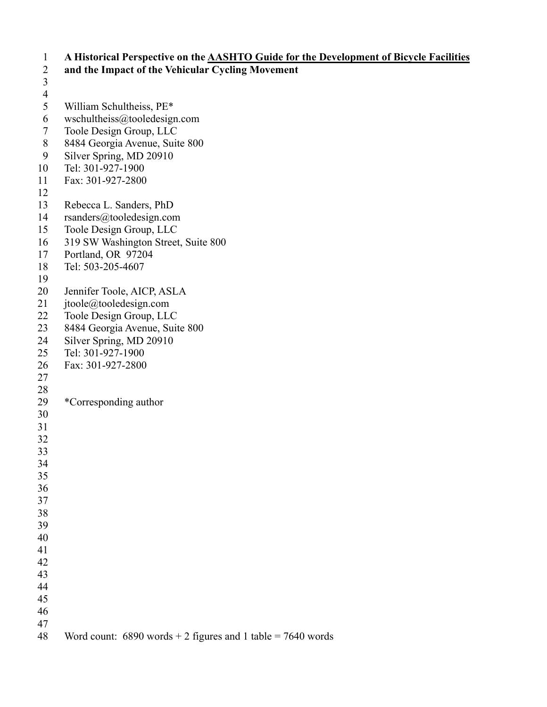1 **A Historical Perspective on the AASHTO Guide for the Development of Bicycle Facilities**  2 **and the Impact of the Vehicular Cycling Movement**  3  $\frac{4}{5}$ 5 William Schultheiss, PE\* 6 wschultheiss $@$ tooledesign.com 7 Toole Design Group, LLC 8 8484 Georgia Avenue, Suite 800 9 Silver Spring, MD 20910 10 Tel: 301-927-1900 11 Fax: 301-927-2800 12 13 Rebecca L. Sanders, PhD 14 rsanders@tooledesign.com 15 Toole Design Group, LLC 16 319 SW Washington Street, Suite 800 17 Portland, OR 97204 18 Tel: 503-205-4607 19 20 Jennifer Toole, AICP, ASLA 21 jtoole@tooledesign.com 22 Toole Design Group, LLC 23 8484 Georgia Avenue, Suite 800 24 Silver Spring, MD 20910 25 Tel: 301-927-1900 26 Fax: 301-927-2800 27 28 29 \*Corresponding author 30 31 32 33 34 35 36 37 38 39 40 41 42 43 44 45 46 47 48 Word count: 6890 words + 2 figures and 1 table = 7640 words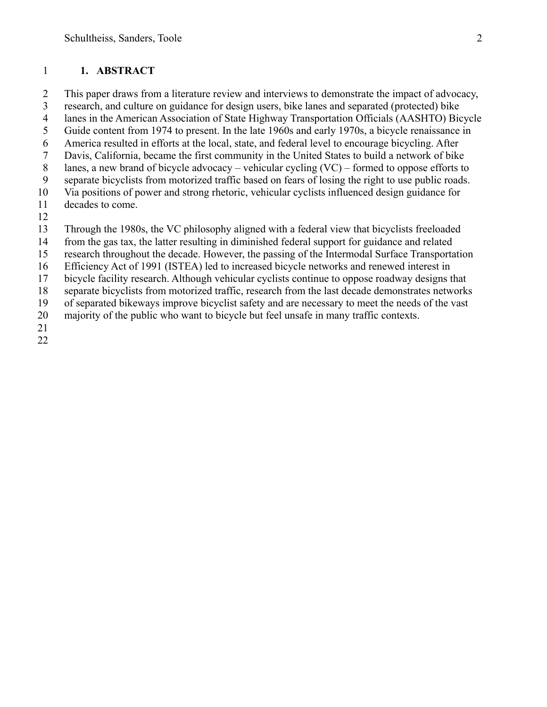#### 1 **1. ABSTRACT**

2 This paper draws from a literature review and interviews to demonstrate the impact of advocacy,

3 research, and culture on guidance for design users, bike lanes and separated (protected) bike

4 lanes in the American Association of State Highway Transportation Officials (AASHTO) Bicycle 5 Guide content from 1974 to present. In the late 1960s and early 1970s, a bicycle renaissance in

- 6 America resulted in efforts at the local, state, and federal level to encourage bicycling. After
- 7 Davis, California, became the first community in the United States to build a network of bike
- 8 lanes, a new brand of bicycle advocacy vehicular cycling (VC) formed to oppose efforts to
- 9 separate bicyclists from motorized traffic based on fears of losing the right to use public roads.

10 Via positions of power and strong rhetoric, vehicular cyclists influenced design guidance for

- 11 decades to come.
- 12

13 Through the 1980s, the VC philosophy aligned with a federal view that bicyclists freeloaded

14 from the gas tax, the latter resulting in diminished federal support for guidance and related

15 research throughout the decade. However, the passing of the Intermodal Surface Transportation

16 Efficiency Act of 1991 (ISTEA) led to increased bicycle networks and renewed interest in

17 bicycle facility research. Although vehicular cyclists continue to oppose roadway designs that

18 separate bicyclists from motorized traffic, research from the last decade demonstrates networks

19 of separated bikeways improve bicyclist safety and are necessary to meet the needs of the vast

20 majority of the public who want to bicycle but feel unsafe in many traffic contexts.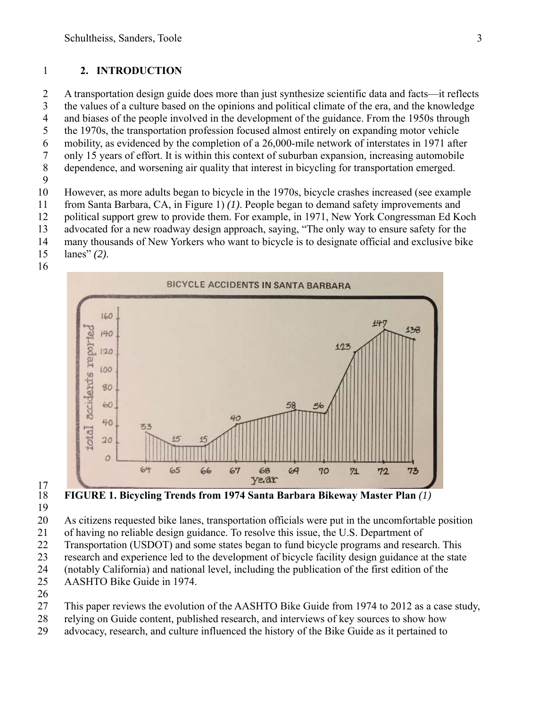#### 1 **2. INTRODUCTION**

2 A transportation design guide does more than just synthesize scientific data and facts—it reflects 3 the values of a culture based on the opinions and political climate of the era, and the knowledge 4 and biases of the people involved in the development of the guidance. From the 1950s through 5 the 1970s, the transportation profession focused almost entirely on expanding motor vehicle 6 mobility, as evidenced by the completion of a 26,000-mile network of interstates in 1971 after 7 only 15 years of effort. It is within this context of suburban expansion, increasing automobile 8 dependence, and worsening air quality that interest in bicycling for transportation emerged. 9

10 However, as more adults began to bicycle in the 1970s, bicycle crashes increased (see example

11 from Santa Barbara, CA, in Figure 1) *(1)*. People began to demand safety improvements and

12 political support grew to provide them. For example, in 1971, New York Congressman Ed Koch

13 advocated for a new roadway design approach, saying, "The only way to ensure safety for the

14 many thousands of New Yorkers who want to bicycle is to designate official and exclusive bike

15 lanes" *(2)*.





 $\frac{17}{18}$ 

18 **FIGURE 1. Bicycling Trends from 1974 Santa Barbara Bikeway Master Plan** *(1)* 19

20 As citizens requested bike lanes, transportation officials were put in the uncomfortable position

21 of having no reliable design guidance. To resolve this issue, the U.S. Department of

22 Transportation (USDOT) and some states began to fund bicycle programs and research. This

23 research and experience led to the development of bicycle facility design guidance at the state

- 24 (notably California) and national level, including the publication of the first edition of the
- 25 AASHTO Bike Guide in 1974.
- 26

27 This paper reviews the evolution of the AASHTO Bike Guide from 1974 to 2012 as a case study,

- 28 relying on Guide content, published research, and interviews of key sources to show how
- 29 advocacy, research, and culture influenced the history of the Bike Guide as it pertained to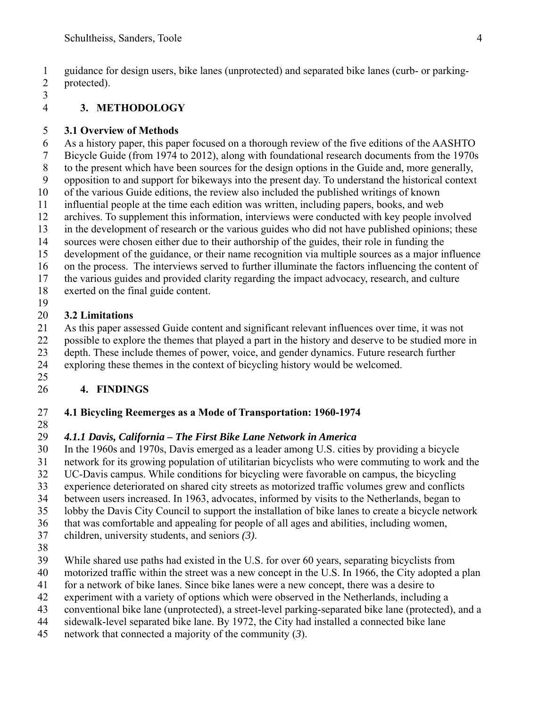1 guidance for design users, bike lanes (unprotected) and separated bike lanes (curb- or parking-2 protected).

3

#### 4 **3. METHODOLOGY**

#### 5 **3.1 Overview of Methods**

6 As a history paper, this paper focused on a thorough review of the five editions of the AASHTO

7 Bicycle Guide (from 1974 to 2012), along with foundational research documents from the 1970s

- 8 to the present which have been sources for the design options in the Guide and, more generally,
- 9 opposition to and support for bikeways into the present day. To understand the historical context
- 10 of the various Guide editions, the review also included the published writings of known 11 influential people at the time each edition was written, including papers, books, and web
- 12 archives. To supplement this information, interviews were conducted with key people involved
- 13 in the development of research or the various guides who did not have published opinions; these
- 14 sources were chosen either due to their authorship of the guides, their role in funding the
- 15 development of the guidance, or their name recognition via multiple sources as a major influence
- 16 on the process. The interviews served to further illuminate the factors influencing the content of
- 17 the various guides and provided clarity regarding the impact advocacy, research, and culture
- 18 exerted on the final guide content.
- 19

### 20 **3.2 Limitations**

21 As this paper assessed Guide content and significant relevant influences over time, it was not 22 possible to explore the themes that played a part in the history and deserve to be studied more in

- 23 depth. These include themes of power, voice, and gender dynamics. Future research further
- 24 exploring these themes in the context of bicycling history would be welcomed.
- 25

# 26 **4. FINDINGS**

### 27 **4.1 Bicycling Reemerges as a Mode of Transportation: 1960-1974**

28

### 29 *4.1.1 Davis, California – The First Bike Lane Network in America*

30 In the 1960s and 1970s, Davis emerged as a leader among U.S. cities by providing a bicycle

31 network for its growing population of utilitarian bicyclists who were commuting to work and the 32 UC-Davis campus. While conditions for bicycling were favorable on campus, the bicycling

UC-Davis campus. While conditions for bicycling were favorable on campus, the bicycling

- 33 experience deteriorated on shared city streets as motorized traffic volumes grew and conflicts
- 34 between users increased. In 1963, advocates, informed by visits to the Netherlands, began to
- 35 lobby the Davis City Council to support the installation of bike lanes to create a bicycle network
- 36 that was comfortable and appealing for people of all ages and abilities, including women,
- 37 children, university students, and seniors *(3)*.
- 38
- 39 While shared use paths had existed in the U.S. for over 60 years, separating bicyclists from
- 40 motorized traffic within the street was a new concept in the U.S. In 1966, the City adopted a plan
- 41 for a network of bike lanes. Since bike lanes were a new concept, there was a desire to
- 42 experiment with a variety of options which were observed in the Netherlands, including a
- 43 conventional bike lane (unprotected), a street-level parking-separated bike lane (protected), and a
- 44 sidewalk-level separated bike lane. By 1972, the City had installed a connected bike lane
- 45 network that connected a majority of the community (*3*).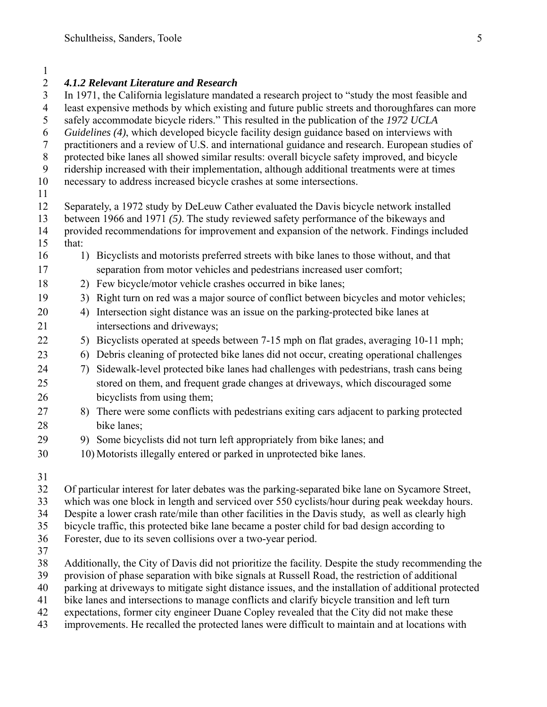#### 1

| $\overline{2}$   |                                                                                                                                                                                                       | <b>4.1.2 Relevant Literature and Research</b>                                                     |  |  |  |  |  |  |  |  |
|------------------|-------------------------------------------------------------------------------------------------------------------------------------------------------------------------------------------------------|---------------------------------------------------------------------------------------------------|--|--|--|--|--|--|--|--|
| $\mathfrak{Z}$   | In 1971, the California legislature mandated a research project to "study the most feasible and                                                                                                       |                                                                                                   |  |  |  |  |  |  |  |  |
| $\overline{4}$   | least expensive methods by which existing and future public streets and thoroughfares can more                                                                                                        |                                                                                                   |  |  |  |  |  |  |  |  |
| 5                | safely accommodate bicycle riders." This resulted in the publication of the 1972 UCLA                                                                                                                 |                                                                                                   |  |  |  |  |  |  |  |  |
| 6                | Guidelines (4), which developed bicycle facility design guidance based on interviews with                                                                                                             |                                                                                                   |  |  |  |  |  |  |  |  |
| $\boldsymbol{7}$ | practitioners and a review of U.S. and international guidance and research. European studies of                                                                                                       |                                                                                                   |  |  |  |  |  |  |  |  |
| 8                |                                                                                                                                                                                                       | protected bike lanes all showed similar results: overall bicycle safety improved, and bicycle     |  |  |  |  |  |  |  |  |
| 9                |                                                                                                                                                                                                       | ridership increased with their implementation, although additional treatments were at times       |  |  |  |  |  |  |  |  |
| 10               |                                                                                                                                                                                                       | necessary to address increased bicycle crashes at some intersections.                             |  |  |  |  |  |  |  |  |
| 11               |                                                                                                                                                                                                       |                                                                                                   |  |  |  |  |  |  |  |  |
| 12               |                                                                                                                                                                                                       | Separately, a 1972 study by DeLeuw Cather evaluated the Davis bicycle network installed           |  |  |  |  |  |  |  |  |
| 13               |                                                                                                                                                                                                       | between 1966 and 1971 (5). The study reviewed safety performance of the bikeways and              |  |  |  |  |  |  |  |  |
| 14               |                                                                                                                                                                                                       | provided recommendations for improvement and expansion of the network. Findings included          |  |  |  |  |  |  |  |  |
| 15<br>16         | that:                                                                                                                                                                                                 | 1) Bicyclists and motorists preferred streets with bike lanes to those without, and that          |  |  |  |  |  |  |  |  |
| 17               |                                                                                                                                                                                                       |                                                                                                   |  |  |  |  |  |  |  |  |
|                  |                                                                                                                                                                                                       | separation from motor vehicles and pedestrians increased user comfort;                            |  |  |  |  |  |  |  |  |
| 18               |                                                                                                                                                                                                       | 2) Few bicycle/motor vehicle crashes occurred in bike lanes;                                      |  |  |  |  |  |  |  |  |
| 19               | 3)                                                                                                                                                                                                    | Right turn on red was a major source of conflict between bicycles and motor vehicles;             |  |  |  |  |  |  |  |  |
| 20               | 4)                                                                                                                                                                                                    | Intersection sight distance was an issue on the parking-protected bike lanes at                   |  |  |  |  |  |  |  |  |
| 21               |                                                                                                                                                                                                       | intersections and driveways;                                                                      |  |  |  |  |  |  |  |  |
| 22               | 5)                                                                                                                                                                                                    | Bicyclists operated at speeds between 7-15 mph on flat grades, averaging 10-11 mph;               |  |  |  |  |  |  |  |  |
| 23               | 6)                                                                                                                                                                                                    | Debris cleaning of protected bike lanes did not occur, creating operational challenges            |  |  |  |  |  |  |  |  |
| 24               | 7)                                                                                                                                                                                                    | Sidewalk-level protected bike lanes had challenges with pedestrians, trash cans being             |  |  |  |  |  |  |  |  |
| 25               |                                                                                                                                                                                                       | stored on them, and frequent grade changes at driveways, which discouraged some                   |  |  |  |  |  |  |  |  |
| 26               |                                                                                                                                                                                                       | bicyclists from using them;                                                                       |  |  |  |  |  |  |  |  |
| 27               |                                                                                                                                                                                                       | 8) There were some conflicts with pedestrians exiting cars adjacent to parking protected          |  |  |  |  |  |  |  |  |
| 28               |                                                                                                                                                                                                       | bike lanes;                                                                                       |  |  |  |  |  |  |  |  |
| 29               |                                                                                                                                                                                                       | 9) Some bicyclists did not turn left appropriately from bike lanes; and                           |  |  |  |  |  |  |  |  |
| 30               |                                                                                                                                                                                                       | 10) Motorists illegally entered or parked in unprotected bike lanes.                              |  |  |  |  |  |  |  |  |
|                  |                                                                                                                                                                                                       |                                                                                                   |  |  |  |  |  |  |  |  |
| 31               |                                                                                                                                                                                                       |                                                                                                   |  |  |  |  |  |  |  |  |
| 32               |                                                                                                                                                                                                       | Of particular interest for later debates was the parking-separated bike lane on Sycamore Street,  |  |  |  |  |  |  |  |  |
| 33               |                                                                                                                                                                                                       | which was one block in length and serviced over 550 cyclists/hour during peak weekday hours.      |  |  |  |  |  |  |  |  |
| 34               |                                                                                                                                                                                                       | Despite a lower crash rate/mile than other facilities in the Davis study, as well as clearly high |  |  |  |  |  |  |  |  |
| 35               |                                                                                                                                                                                                       | bicycle traffic, this protected bike lane became a poster child for bad design according to       |  |  |  |  |  |  |  |  |
| 36               |                                                                                                                                                                                                       | Forester, due to its seven collisions over a two-year period.                                     |  |  |  |  |  |  |  |  |
| 37<br>38         |                                                                                                                                                                                                       |                                                                                                   |  |  |  |  |  |  |  |  |
| 39               | Additionally, the City of Davis did not prioritize the facility. Despite the study recommending the<br>provision of phase separation with bike signals at Russell Road, the restriction of additional |                                                                                                   |  |  |  |  |  |  |  |  |
| 40               |                                                                                                                                                                                                       |                                                                                                   |  |  |  |  |  |  |  |  |

41 bike lanes and intersections to manage conflicts and clarify bicycle transition and left turn 42 expectations, former city engineer Duane Copley revealed that the City did not make these<br>43 improvements. He recalled the protected lanes were difficult to maintain and at locations w

improvements. He recalled the protected lanes were difficult to maintain and at locations with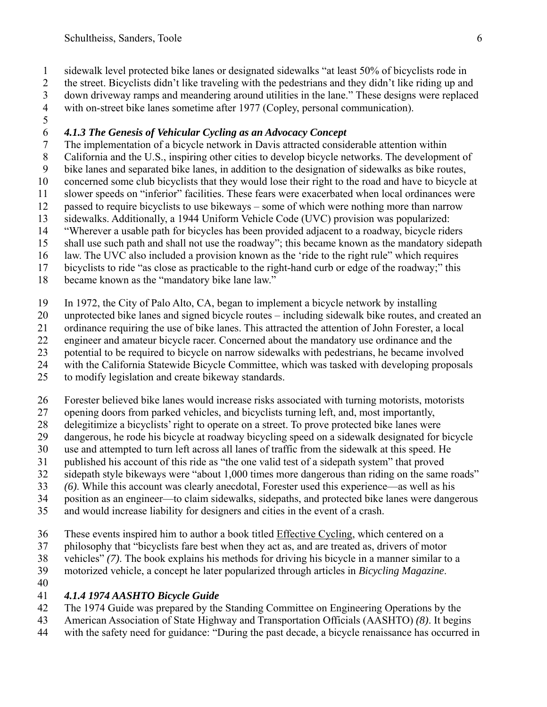1 sidewalk level protected bike lanes or designated sidewalks "at least 50% of bicyclists rode in

2 the street. Bicyclists didn't like traveling with the pedestrians and they didn't like riding up and 3 down driveway ramps and meandering around utilities in the lane." These designs were replaced

4 with on-street bike lanes sometime after 1977 (Copley, personal communication).

5

### 6 *4.1.3 The Genesis of Vehicular Cycling as an Advocacy Concept*

7 The implementation of a bicycle network in Davis attracted considerable attention within

8 California and the U.S., inspiring other cities to develop bicycle networks. The development of

9 bike lanes and separated bike lanes, in addition to the designation of sidewalks as bike routes,

10 concerned some club bicyclists that they would lose their right to the road and have to bicycle at 11 slower speeds on "inferior" facilities. These fears were exacerbated when local ordinances were

12 passed to require bicyclists to use bikeways – some of which were nothing more than narrow

13 sidewalks. Additionally, a 1944 Uniform Vehicle Code (UVC) provision was popularized:

14 "Wherever a usable path for bicycles has been provided adjacent to a roadway, bicycle riders

15 shall use such path and shall not use the roadway"; this became known as the mandatory sidepath

16 law. The UVC also included a provision known as the 'ride to the right rule" which requires

17 bicyclists to ride "as close as practicable to the right-hand curb or edge of the roadway;" this

18 became known as the "mandatory bike lane law."

19 In 1972, the City of Palo Alto, CA, began to implement a bicycle network by installing

20 unprotected bike lanes and signed bicycle routes – including sidewalk bike routes, and created an

21 ordinance requiring the use of bike lanes. This attracted the attention of John Forester, a local

22 engineer and amateur bicycle racer. Concerned about the mandatory use ordinance and the

23 potential to be required to bicycle on narrow sidewalks with pedestrians, he became involved

24 with the California Statewide Bicycle Committee, which was tasked with developing proposals

25 to modify legislation and create bikeway standards.

26 Forester believed bike lanes would increase risks associated with turning motorists, motorists

27 opening doors from parked vehicles, and bicyclists turning left, and, most importantly,

28 delegitimize a bicyclists' right to operate on a street. To prove protected bike lanes were

- 29 dangerous, he rode his bicycle at roadway bicycling speed on a sidewalk designated for bicycle
- 30 use and attempted to turn left across all lanes of traffic from the sidewalk at this speed. He
- 31 published his account of this ride as "the one valid test of a sidepath system" that proved

32 sidepath style bikeways were "about 1,000 times more dangerous than riding on the same roads"

33 *(6)*. While this account was clearly anecdotal, Forester used this experience—as well as his

34 position as an engineer—to claim sidewalks, sidepaths, and protected bike lanes were dangerous

35 and would increase liability for designers and cities in the event of a crash.

36 These events inspired him to author a book titled Effective Cycling, which centered on a

37 philosophy that "bicyclists fare best when they act as, and are treated as, drivers of motor

38 vehicles" *(7)*. The book explains his methods for driving his bicycle in a manner similar to a

39 motorized vehicle, a concept he later popularized through articles in *Bicycling Magazine*.

40

### 41 *4.1.4 1974 AASHTO Bicycle Guide*

42 The 1974 Guide was prepared by the Standing Committee on Engineering Operations by the

43 American Association of State Highway and Transportation Officials (AASHTO) *(8)*. It begins

44 with the safety need for guidance: "During the past decade, a bicycle renaissance has occurred in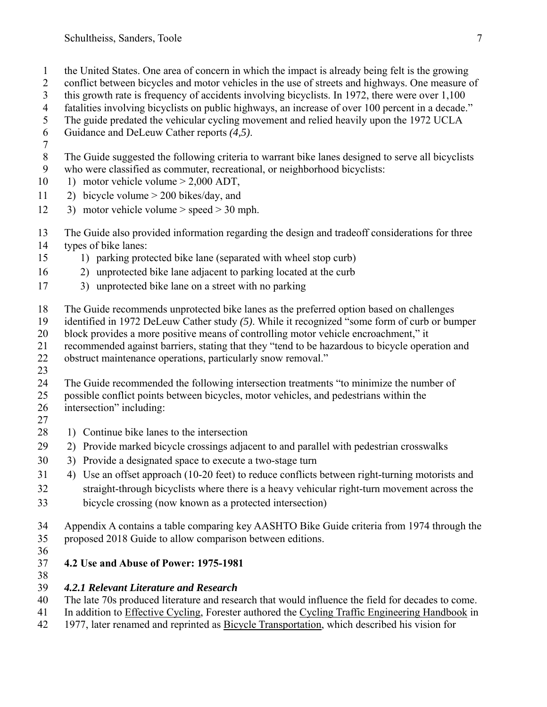- 1 the United States. One area of concern in which the impact is already being felt is the growing
- 2 conflict between bicycles and motor vehicles in the use of streets and highways. One measure of
- 3 this growth rate is frequency of accidents involving bicyclists. In 1972, there were over 1,100
- 4 fatalities involving bicyclists on public highways, an increase of over 100 percent in a decade."
- 5 The guide predated the vehicular cycling movement and relied heavily upon the 1972 UCLA
- 6 Guidance and DeLeuw Cather reports *(4,5)*.
- 7
- 8 The Guide suggested the following criteria to warrant bike lanes designed to serve all bicyclists
- 9 who were classified as commuter, recreational, or neighborhood bicyclists:
- 10 1) motor vehicle volume > 2,000 ADT,
- 11 2) bicycle volume > 200 bikes/day, and
- 12 3) motor vehicle volume > speed > 30 mph.
- 13 The Guide also provided information regarding the design and tradeoff considerations for three
- 14 types of bike lanes:
- 15 1) parking protected bike lane (separated with wheel stop curb)
- 16 2) unprotected bike lane adjacent to parking located at the curb
- 17 3) unprotected bike lane on a street with no parking
- 18 The Guide recommends unprotected bike lanes as the preferred option based on challenges
- 19 identified in 1972 DeLeuw Cather study *(5)*. While it recognized "some form of curb or bumper
- 20 block provides a more positive means of controlling motor vehicle encroachment," it
- 21 recommended against barriers, stating that they "tend to be hazardous to bicycle operation and
- 22 obstruct maintenance operations, particularly snow removal."
- 23
- 24 The Guide recommended the following intersection treatments "to minimize the number of
- 25 possible conflict points between bicycles, motor vehicles, and pedestrians within the 26 intersection" including:
- 27
- 28 1) Continue bike lanes to the intersection
- 29 2) Provide marked bicycle crossings adjacent to and parallel with pedestrian crosswalks
- 30 3) Provide a designated space to execute a two-stage turn
- 31 4) Use an offset approach (10-20 feet) to reduce conflicts between right-turning motorists and 32 straight-through bicyclists where there is a heavy vehicular right-turn movement across the 33 bicycle crossing (now known as a protected intersection)
- 34 Appendix A contains a table comparing key AASHTO Bike Guide criteria from 1974 through the
- 35 proposed 2018 Guide to allow comparison between editions.
- 36

# 37 **4.2 Use and Abuse of Power: 1975-1981**

38

# 39 *4.2.1 Relevant Literature and Research*

- 40 The late 70s produced literature and research that would influence the field for decades to come.
- 41 In addition to Effective Cycling, Forester authored the Cycling Traffic Engineering Handbook in
- 42 1977, later renamed and reprinted as Bicycle Transportation, which described his vision for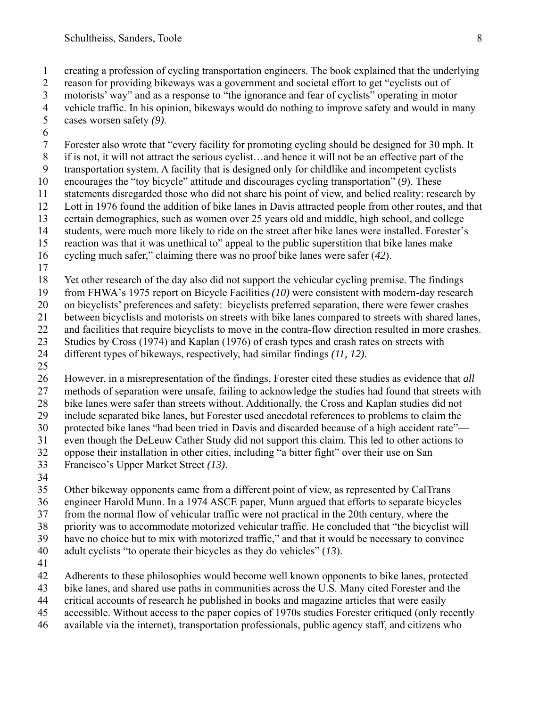1 creating a profession of cycling transportation engineers. The book explained that the underlying 2 reason for providing bikeways was a government and societal effort to get "cyclists out of 3 motorists' way" and as a response to "the ignorance and fear of cyclists" operating in motor

- 4 vehicle traffic. In his opinion, bikeways would do nothing to improve safety and would in many cases worsen safety  $(9)$ . 5 cases worsen safety *(9)*.
- 6

7 Forester also wrote that "every facility for promoting cycling should be designed for 30 mph. It

8 if is not, it will not attract the serious cyclist…and hence it will not be an effective part of the

- 9 transportation system. A facility that is designed only for childlike and incompetent cyclists
- 10 encourages the "toy bicycle" attitude and discourages cycling transportation" (*9*). These 11 statements disregarded those who did not share his point of view, and belied reality: research by
- 12 Lott in 1976 found the addition of bike lanes in Davis attracted people from other routes, and that
- 13 certain demographics, such as women over 25 years old and middle, high school, and college
- 14 students, were much more likely to ride on the street after bike lanes were installed. Forester's

15 reaction was that it was unethical to" appeal to the public superstition that bike lanes make

16 cycling much safer," claiming there was no proof bike lanes were safer (*42*).

17

18 Yet other research of the day also did not support the vehicular cycling premise. The findings

19 from FHWA's 1975 report on Bicycle Facilities *(10)* were consistent with modern-day research

20 on bicyclists' preferences and safety: bicyclists preferred separation, there were fewer crashes

21 between bicyclists and motorists on streets with bike lanes compared to streets with shared lanes,

22 and facilities that require bicyclists to move in the contra-flow direction resulted in more crashes.

23 Studies by Cross (1974) and Kaplan (1976) of crash types and crash rates on streets with

24 different types of bikeways, respectively, had similar findings *(11, 12)*.

25

26 However, in a misrepresentation of the findings, Forester cited these studies as evidence that *all* 27 methods of separation were unsafe, failing to acknowledge the studies had found that streets with 28 bike lanes were safer than streets without. Additionally, the Cross and Kaplan studies did not

29 include separated bike lanes, but Forester used anecdotal references to problems to claim the 30 protected bike lanes "had been tried in Davis and discarded because of a high accident rate"—

31 even though the DeLeuw Cather Study did not support this claim. This led to other actions to

32 oppose their installation in other cities, including "a bitter fight" over their use on San

- 33 Francisco's Upper Market Street *(13)*.
- 34

35 Other bikeway opponents came from a different point of view, as represented by CalTrans

36 engineer Harold Munn. In a 1974 ASCE paper, Munn argued that efforts to separate bicycles

37 from the normal flow of vehicular traffic were not practical in the 20th century, where the

38 priority was to accommodate motorized vehicular traffic. He concluded that "the bicyclist will

39 have no choice but to mix with motorized traffic," and that it would be necessary to convince

- 40 adult cyclists "to operate their bicycles as they do vehicles" (*13*).
- 41

42 Adherents to these philosophies would become well known opponents to bike lanes, protected

43 bike lanes, and shared use paths in communities across the U.S. Many cited Forester and the

- 44 critical accounts of research he published in books and magazine articles that were easily
- 45 accessible. Without access to the paper copies of 1970s studies Forester critiqued (only recently
- 46 available via the internet), transportation professionals, public agency staff, and citizens who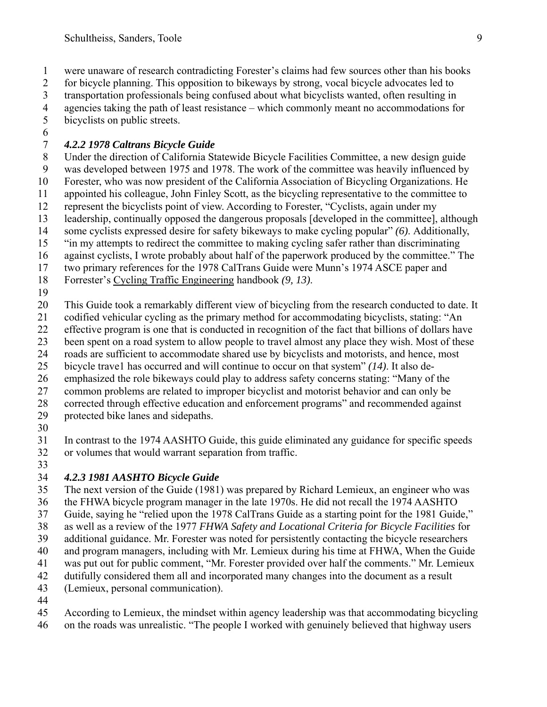1 were unaware of research contradicting Forester's claims had few sources other than his books

2 for bicycle planning. This opposition to bikeways by strong, vocal bicycle advocates led to

- 3 transportation professionals being confused about what bicyclists wanted, often resulting in
- 4 agencies taking the path of least resistance which commonly meant no accommodations for 5 bicyclists on public streets.
- 6

# 7 *4.2.2 1978 Caltrans Bicycle Guide*

8 Under the direction of California Statewide Bicycle Facilities Committee, a new design guide 9 was developed between 1975 and 1978. The work of the committee was heavily influenced by 10 Forester, who was now president of the California Association of Bicycling Organizations. He 11 appointed his colleague, John Finley Scott, as the bicycling representative to the committee to 12 represent the bicyclists point of view. According to Forester, "Cyclists, again under my 13 leadership, continually opposed the dangerous proposals [developed in the committee], although 14 some cyclists expressed desire for safety bikeways to make cycling popular" *(6)*. Additionally, 15 "in my attempts to redirect the committee to making cycling safer rather than discriminating 16 against cyclists, I wrote probably about half of the paperwork produced by the committee." The 17 two primary references for the 1978 CalTrans Guide were Munn's 1974 ASCE paper and

18 Forrester's Cycling Traffic Engineering handbook *(9, 13)*.

19

20 This Guide took a remarkably different view of bicycling from the research conducted to date. It

- 21 codified vehicular cycling as the primary method for accommodating bicyclists, stating: "An
- 22 effective program is one that is conducted in recognition of the fact that billions of dollars have
- 23 been spent on a road system to allow people to travel almost any place they wish. Most of these
- 24 roads are sufficient to accommodate shared use by bicyclists and motorists, and hence, most
- 25 bicycle trave1 has occurred and will continue to occur on that system" *(14)*. It also de-
- 26 emphasized the role bikeways could play to address safety concerns stating: "Many of the
- 27 common problems are related to improper bicyclist and motorist behavior and can only be
- 28 corrected through effective education and enforcement programs" and recommended against 29 protected bike lanes and sidepaths.
- 30

31 In contrast to the 1974 AASHTO Guide, this guide eliminated any guidance for specific speeds 32 or volumes that would warrant separation from traffic.

33

# 34 *4.2.3 1981 AASHTO Bicycle Guide*

- 35 The next version of the Guide (1981) was prepared by Richard Lemieux, an engineer who was
- 36 the FHWA bicycle program manager in the late 1970s. He did not recall the 1974 AASHTO
- 37 Guide, saying he "relied upon the 1978 CalTrans Guide as a starting point for the 1981 Guide,"
- 38 as well as a review of the 1977 *FHWA Safety and Locational Criteria for Bicycle Facilities* for
- 39 additional guidance. Mr. Forester was noted for persistently contacting the bicycle researchers
- 40 and program managers, including with Mr. Lemieux during his time at FHWA, When the Guide
- 41 was put out for public comment, "Mr. Forester provided over half the comments." Mr. Lemieux
- 42 dutifully considered them all and incorporated many changes into the document as a result
- 43 (Lemieux, personal communication).
- 44
- 45 According to Lemieux, the mindset within agency leadership was that accommodating bicycling
- 46 on the roads was unrealistic. "The people I worked with genuinely believed that highway users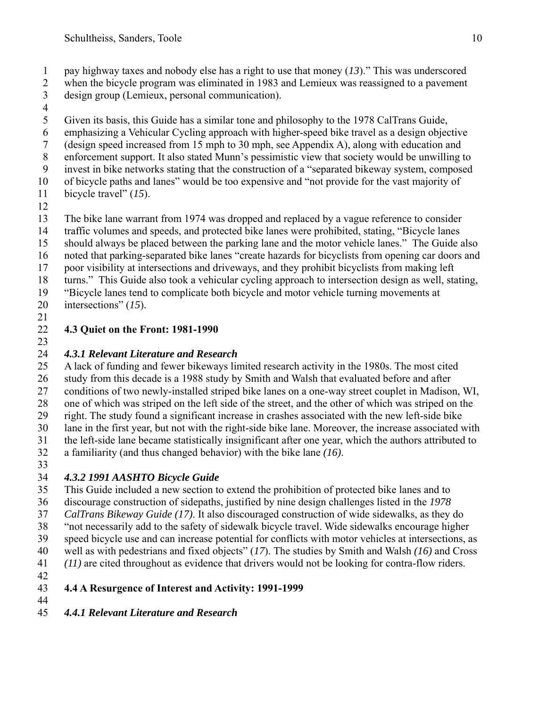- 1 pay highway taxes and nobody else has a right to use that money (*13*)." This was underscored
- 2 when the bicycle program was eliminated in 1983 and Lemieux was reassigned to a pavement 3 design group (Lemieux, personal communication).
- 
- $\frac{4}{5}$ 5 Given its basis, this Guide has a similar tone and philosophy to the 1978 CalTrans Guide,
- 6 emphasizing a Vehicular Cycling approach with higher-speed bike travel as a design objective
- 7 (design speed increased from 15 mph to 30 mph, see Appendix A), along with education and
- 8 enforcement support. It also stated Munn's pessimistic view that society would be unwilling to 9 invest in bike networks stating that the construction of a "separated bikeway system, composed
- 10 of bicycle paths and lanes" would be too expensive and "not provide for the vast majority of
- 11 bicycle travel" (*15*).
- 12
- 13 The bike lane warrant from 1974 was dropped and replaced by a vague reference to consider
- 14 traffic volumes and speeds, and protected bike lanes were prohibited, stating, "Bicycle lanes
- 15 should always be placed between the parking lane and the motor vehicle lanes." The Guide also
- 16 noted that parking-separated bike lanes "create hazards for bicyclists from opening car doors and
- 17 poor visibility at intersections and driveways, and they prohibit bicyclists from making left
- 18 turns." This Guide also took a vehicular cycling approach to intersection design as well, stating,
- 19 "Bicycle lanes tend to complicate both bicycle and motor vehicle turning movements at 20 intersections" (*15*).
- 21

# 22 **4.3 Quiet on the Front: 1981-1990**

23

# 24 *4.3.1 Relevant Literature and Research*

25 A lack of funding and fewer bikeways limited research activity in the 1980s. The most cited 26 study from this decade is a 1988 study by Smith and Walsh that evaluated before and after 27 conditions of two newly-installed striped bike lanes on a one-way street couplet in Madison, WI, 28 one of which was striped on the left side of the street, and the other of which was striped on the 29 right. The study found a significant increase in crashes associated with the new left-side bike

- 30 lane in the first year, but not with the right-side bike lane. Moreover, the increase associated with
- 31 the left-side lane became statistically insignificant after one year, which the authors attributed to
- 32 a familiarity (and thus changed behavior) with the bike lane *(16)*.
- 33

# 34 *4.3.2 1991 AASHTO Bicycle Guide*

- 35 This Guide included a new section to extend the prohibition of protected bike lanes and to
- 36 discourage construction of sidepaths, justified by nine design challenges listed in the *1978*
- 37 *CalTrans Bikeway Guide (17)*. It also discouraged construction of wide sidewalks, as they do
- 38 "not necessarily add to the safety of sidewalk bicycle travel. Wide sidewalks encourage higher
- 39 speed bicycle use and can increase potential for conflicts with motor vehicles at intersections, as
- 40 well as with pedestrians and fixed objects" (*17*). The studies by Smith and Walsh *(16)* and Cross
- 41 *(11)* are cited throughout as evidence that drivers would not be looking for contra-flow riders.
- 42

#### 43 **4.4 A Resurgence of Interest and Activity: 1991-1999**  44

45 *4.4.1 Relevant Literature and Research*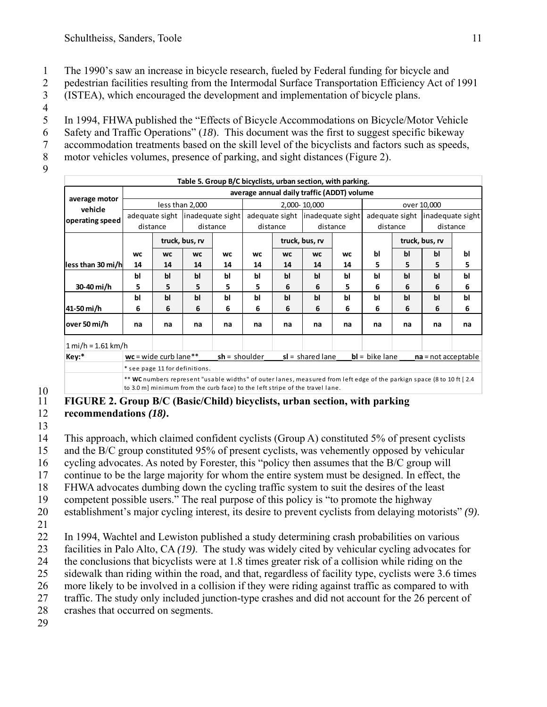1 The 1990's saw an increase in bicycle research, fueled by Federal funding for bicycle and

2 pedestrian facilities resulting from the Intermodal Surface Transportation Efficiency Act of 1991 3 (ISTEA), which encouraged the development and implementation of bicycle plans.

 $\frac{4}{5}$ In 1994, FHWA published the "Effects of Bicycle Accommodations on Bicycle/Motor Vehicle 6 Safety and Traffic Operations" (*18*). This document was the first to suggest specific bikeway 7 accommodation treatments based on the skill level of the bicyclists and factors such as speeds,

8 motor vehicles volumes, presence of parking, and sight distances (Figure 2).

9

| Table 5. Group B/C bicyclists, urban section, with parking. |                                                                                                                                                                                                        |                    |                  |           |                                           |                |                                  |           |             |    |                                   |    |
|-------------------------------------------------------------|--------------------------------------------------------------------------------------------------------------------------------------------------------------------------------------------------------|--------------------|------------------|-----------|-------------------------------------------|----------------|----------------------------------|-----------|-------------|----|-----------------------------------|----|
|                                                             | average annual daily traffic (ADDT) volume                                                                                                                                                             |                    |                  |           |                                           |                |                                  |           |             |    |                                   |    |
| average motor<br>vehicle                                    | less than 2,000                                                                                                                                                                                        |                    |                  |           | 2,000-10,000                              |                |                                  |           | over 10,000 |    |                                   |    |
| operating speed                                             | adequate sight                                                                                                                                                                                         |                    | inadequate sight |           |                                           |                | adequate sight linadequate sight |           |             |    | adequate sight   inadequate sight |    |
|                                                             | distance                                                                                                                                                                                               |                    | distance         |           | distance                                  |                | distance                         |           | distance    |    | distance                          |    |
|                                                             |                                                                                                                                                                                                        |                    | truck, bus, rv   |           |                                           | truck, bus, rv |                                  |           |             |    | truck, bus, rv                    |    |
|                                                             | <b>WC</b>                                                                                                                                                                                              | <b>WC</b>          | <b>WC</b>        | <b>WC</b> | <b>WC</b>                                 | <b>WC</b>      | <b>WC</b>                        | <b>WC</b> | bl          | bl | bl                                | bl |
| less than 30 mi/h                                           | 14                                                                                                                                                                                                     | 14                 | 14               | 14        | 14                                        | 14             | 14                               | 14        | 5           | 5  | 5                                 | 5  |
|                                                             | bl                                                                                                                                                                                                     | bl                 | bl               | Ы         | bl                                        | bl             | bl                               | Ы         | bl          | bl | bl                                | bl |
| 30-40 mi/h                                                  | 5                                                                                                                                                                                                      | 5                  | 5                | 5         | 5                                         | 6              | 6                                | 5         | 6           | 6  | 6                                 | 6  |
|                                                             | bl                                                                                                                                                                                                     | bl                 | b <sub>l</sub>   | bl        | bl                                        | bl             | bl                               | Ы         | bl          | bl | bl                                | bl |
| 41-50 mi/h                                                  | 6                                                                                                                                                                                                      | 6                  | 6                | 6         | 6                                         | 6              | 6                                | 6         | 6           | 6  | 6                                 | 6  |
| over 50 mi/h                                                | na                                                                                                                                                                                                     | na                 | na               | na        | na                                        | na             | na                               | na        | na          | na | na                                | na |
| $1 mi/h = 1.61 km/h$                                        |                                                                                                                                                                                                        |                    |                  |           |                                           |                |                                  |           |             |    |                                   |    |
| Key:*<br>$wc = wide$ curb lane**<br>$sh =$ shoulder         |                                                                                                                                                                                                        | $sl = shared$ lane |                  |           | $bl = bike$ lane<br>$na = not acceptable$ |                |                                  |           |             |    |                                   |    |
|                                                             | * see page 11 for definitions.                                                                                                                                                                         |                    |                  |           |                                           |                |                                  |           |             |    |                                   |    |
|                                                             | ** WC numbers represent "usable widths" of outer lanes, measured from left edge of the parkign space (8 to 10 ft [2.4]<br>to 3.0 m] minimum from the curb face) to the left stripe of the travel lane. |                    |                  |           |                                           |                |                                  |           |             |    |                                   |    |

# $\frac{10}{11}$

#### 11 **FIGURE 2. Group B/C (Basic/Child) bicyclists, urban section, with parking**  12 **recommendations** *(18)***.**

13

14 This approach, which claimed confident cyclists (Group A) constituted 5% of present cyclists 15 and the B/C group constituted 95% of present cyclists, was vehemently opposed by vehicular 16 cycling advocates. As noted by Forester, this "policy then assumes that the B/C group will 17 continue to be the large majority for whom the entire system must be designed. In effect, the 18 FHWA advocates dumbing down the cycling traffic system to suit the desires of the least

19 competent possible users." The real purpose of this policy is "to promote the highway

- 20 establishment's major cycling interest, its desire to prevent cyclists from delaying motorists" *(9)*.
- 21

22 In 1994, Wachtel and Lewiston published a study determining crash probabilities on various 23 facilities in Palo Alto, CA *(19)*. The study was widely cited by vehicular cycling advocates for

24 the conclusions that bicyclists were at 1.8 times greater risk of a collision while riding on the

25 sidewalk than riding within the road, and that, regardless of facility type, cyclists were 3.6 times

26 more likely to be involved in a collision if they were riding against traffic as compared to with

27 traffic. The study only included junction-type crashes and did not account for the 26 percent of

28 crashes that occurred on segments.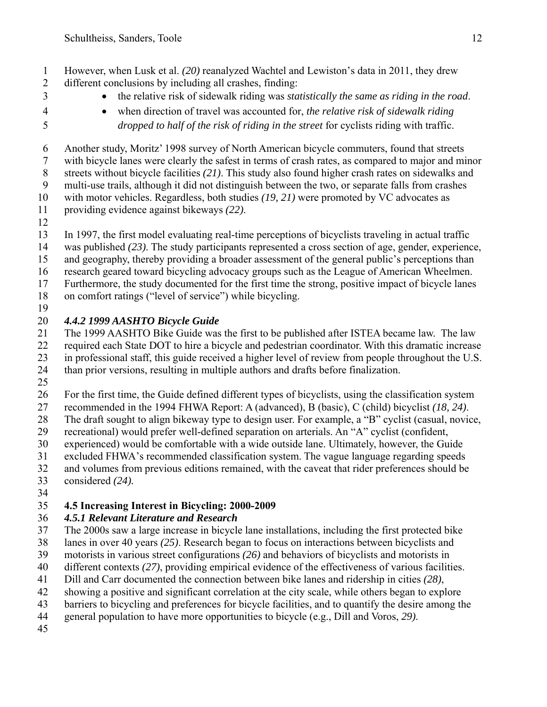1 However, when Lusk et al. *(20)* reanalyzed Wachtel and Lewiston's data in 2011, they drew 2 different conclusions by including all crashes, finding:

- 
- 3 the relative risk of sidewalk riding was *statistically the same as riding in the road*.
	- 4 when direction of travel was accounted for, *the relative risk of sidewalk riding*  5 *dropped to half of the risk of riding in the street* for cyclists riding with traffic.

6 Another study, Moritz' 1998 survey of North American bicycle commuters, found that streets 7 with bicycle lanes were clearly the safest in terms of crash rates, as compared to major and minor 8 streets without bicycle facilities *(21)*. This study also found higher crash rates on sidewalks and 9 multi-use trails, although it did not distinguish between the two, or separate falls from crashes

10 with motor vehicles. Regardless, both studies *(19, 21)* were promoted by VC advocates as

- 11 providing evidence against bikeways *(22)*.
- 12

13 In 1997, the first model evaluating real-time perceptions of bicyclists traveling in actual traffic

- 14 was published *(23)*. The study participants represented a cross section of age, gender, experience,
- 15 and geography, thereby providing a broader assessment of the general public's perceptions than
- 16 research geared toward bicycling advocacy groups such as the League of American Wheelmen.
- 17 Furthermore, the study documented for the first time the strong, positive impact of bicycle lanes
- 18 on comfort ratings ("level of service") while bicycling. 19

# 20 *4.4.2 1999 AASHTO Bicycle Guide*

21 The 1999 AASHTO Bike Guide was the first to be published after ISTEA became law. The law

22 required each State DOT to hire a bicycle and pedestrian coordinator. With this dramatic increase

23 in professional staff, this guide received a higher level of review from people throughout the U.S.

24 than prior versions, resulting in multiple authors and drafts before finalization.

25

26 For the first time, the Guide defined different types of bicyclists, using the classification system

27 recommended in the 1994 FHWA Report: A (advanced), B (basic), C (child) bicyclist *(18, 24)*.

28 The draft sought to align bikeway type to design user. For example, a "B" cyclist (casual, novice,

29 recreational) would prefer well-defined separation on arterials. An "A" cyclist (confident,

- 30 experienced) would be comfortable with a wide outside lane. Ultimately, however, the Guide
- 31 excluded FHWA's recommended classification system. The vague language regarding speeds

32 and volumes from previous editions remained, with the caveat that rider preferences should be 33 considered *(24).*

34

# 35 **4.5 Increasing Interest in Bicycling: 2000-2009**

# 36 *4.5.1 Relevant Literature and Research*

- 37 The 2000s saw a large increase in bicycle lane installations, including the first protected bike
- 38 lanes in over 40 years *(25)*. Research began to focus on interactions between bicyclists and
- 39 motorists in various street configurations *(26)* and behaviors of bicyclists and motorists in
- 40 different contexts *(27)*, providing empirical evidence of the effectiveness of various facilities.
- 41 Dill and Carr documented the connection between bike lanes and ridership in cities *(28)*,
- 42 showing a positive and significant correlation at the city scale, while others began to explore
- 43 barriers to bicycling and preferences for bicycle facilities, and to quantify the desire among the
- 44 general population to have more opportunities to bicycle (e.g., Dill and Voros, *29)*.
- 45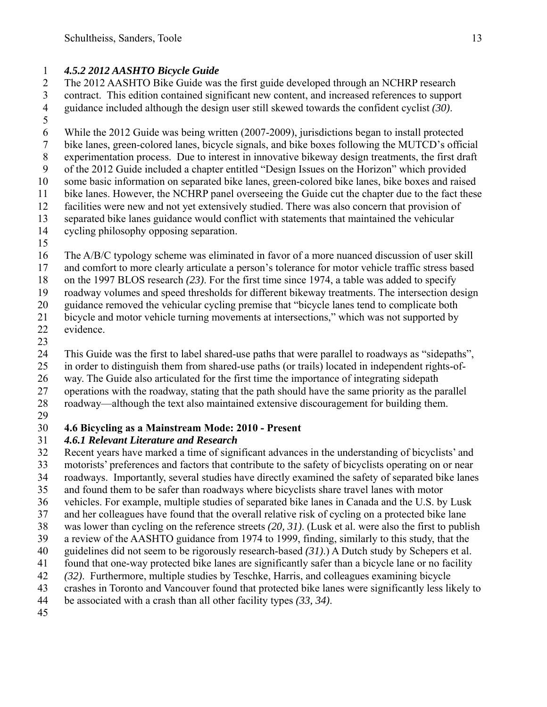### 1 *4.5.2 2012 AASHTO Bicycle Guide*

2 The 2012 AASHTO Bike Guide was the first guide developed through an NCHRP research 3 contract. This edition contained significant new content, and increased references to support

4 guidance included although the design user still skewed towards the confident cyclist *(30)*.

5 6 While the 2012 Guide was being written (2007-2009), jurisdictions began to install protected 7 bike lanes, green-colored lanes, bicycle signals, and bike boxes following the MUTCD's official 8 experimentation process. Due to interest in innovative bikeway design treatments, the first draft 9 of the 2012 Guide included a chapter entitled "Design Issues on the Horizon" which provided 10 some basic information on separated bike lanes, green-colored bike lanes, bike boxes and raised 11 bike lanes. However, the NCHRP panel overseeing the Guide cut the chapter due to the fact these 12 facilities were new and not yet extensively studied. There was also concern that provision of 13 separated bike lanes guidance would conflict with statements that maintained the vehicular 14 cycling philosophy opposing separation.

15

16 The A/B/C typology scheme was eliminated in favor of a more nuanced discussion of user skill 17 and comfort to more clearly articulate a person's tolerance for motor vehicle traffic stress based

18 on the 1997 BLOS research *(23)*. For the first time since 1974, a table was added to specify

19 roadway volumes and speed thresholds for different bikeway treatments. The intersection design

20 guidance removed the vehicular cycling premise that "bicycle lanes tend to complicate both

21 bicycle and motor vehicle turning movements at intersections," which was not supported by 22 evidence.

23

24 This Guide was the first to label shared-use paths that were parallel to roadways as "sidepaths",

25 in order to distinguish them from shared-use paths (or trails) located in independent rights-of-

26 way. The Guide also articulated for the first time the importance of integrating sidepath

27 operations with the roadway, stating that the path should have the same priority as the parallel

28 roadway—although the text also maintained extensive discouragement for building them.

29

### 30 **4.6 Bicycling as a Mainstream Mode: 2010 - Present**

### 31 *4.6.1 Relevant Literature and Research*

32 Recent years have marked a time of significant advances in the understanding of bicyclists' and

33 motorists' preferences and factors that contribute to the safety of bicyclists operating on or near

34 roadways. Importantly, several studies have directly examined the safety of separated bike lanes

35 and found them to be safer than roadways where bicyclists share travel lanes with motor

- 36 vehicles. For example, multiple studies of separated bike lanes in Canada and the U.S. by Lusk
- 37 and her colleagues have found that the overall relative risk of cycling on a protected bike lane
- 38 was lower than cycling on the reference streets *(20, 31)*. (Lusk et al. were also the first to publish 39 a review of the AASHTO guidance from 1974 to 1999, finding, similarly to this study, that the
- 40 guidelines did not seem to be rigorously research-based *(31)*.) A Dutch study by Schepers et al.
- 41 found that one-way protected bike lanes are significantly safer than a bicycle lane or no facility
- 42 *(32)*. Furthermore, multiple studies by Teschke, Harris, and colleagues examining bicycle
- 43 crashes in Toronto and Vancouver found that protected bike lanes were significantly less likely to
- 44 be associated with a crash than all other facility types *(33, 34)*.
- 45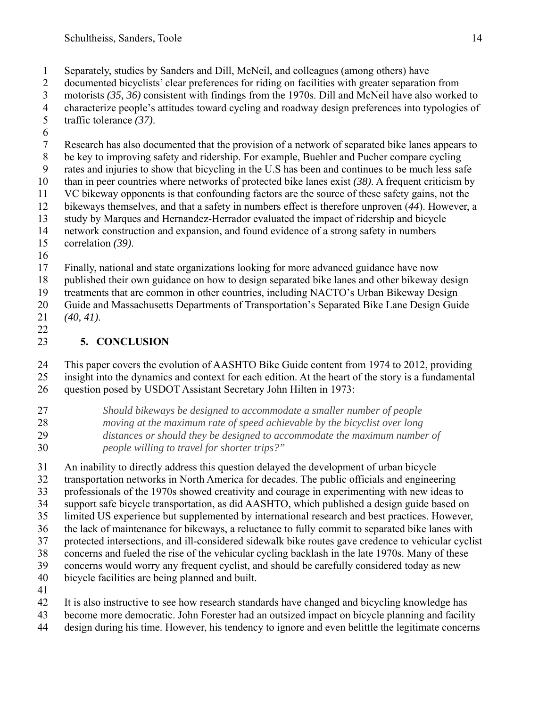- 1 Separately, studies by Sanders and Dill, McNeil, and colleagues (among others) have
- 2 documented bicyclists' clear preferences for riding on facilities with greater separation from
- 3 motorists *(35, 36)* consistent with findings from the 1970s. Dill and McNeil have also worked to
- 4 characterize people's attitudes toward cycling and roadway design preferences into typologies of traffic tolerance  $(37)$ . traffic tolerance (37).
- 6
- 7 Research has also documented that the provision of a network of separated bike lanes appears to
- 8 be key to improving safety and ridership. For example, Buehler and Pucher compare cycling
- 9 rates and injuries to show that bicycling in the U.S has been and continues to be much less safe
- 10 than in peer countries where networks of protected bike lanes exist *(38)*. A frequent criticism by
- 11 VC bikeway opponents is that confounding factors are the source of these safety gains, not the 12 bikeways themselves, and that a safety in numbers effect is therefore unproven (*44*). However, a
- 13 study by Marques and Hernandez-Herrador evaluated the impact of ridership and bicycle
- 14 network construction and expansion, and found evidence of a strong safety in numbers
- 15 correlation *(39)*.
- 16
- 17 Finally, national and state organizations looking for more advanced guidance have now
- 18 published their own guidance on how to design separated bike lanes and other bikeway design
- 19 treatments that are common in other countries, including NACTO's Urban Bikeway Design
- 20 Guide and Massachusetts Departments of Transportation's Separated Bike Lane Design Guide 21 *(40, 41)*.
- 22

# 23 **5. CONCLUSION**

24 This paper covers the evolution of AASHTO Bike Guide content from 1974 to 2012, providing 25 insight into the dynamics and context for each edition. At the heart of the story is a fundamental 26 question posed by USDOT Assistant Secretary John Hilten in 1973:

- 27 *Should bikeways be designed to accommodate a smaller number of people*  28 *moving at the maximum rate of speed achievable by the bicyclist over long*  29 *distances or should they be designed to accommodate the maximum number of*
- 30 *people willing to travel for shorter trips?"*

31 An inability to directly address this question delayed the development of urban bicycle

- 32 transportation networks in North America for decades. The public officials and engineering
- 33 professionals of the 1970s showed creativity and courage in experimenting with new ideas to
- 34 support safe bicycle transportation, as did AASHTO, which published a design guide based on
- 35 limited US experience but supplemented by international research and best practices. However,
- 36 the lack of maintenance for bikeways, a reluctance to fully commit to separated bike lanes with
- 37 protected intersections, and ill-considered sidewalk bike routes gave credence to vehicular cyclist
- 38 concerns and fueled the rise of the vehicular cycling backlash in the late 1970s. Many of these
- 39 concerns would worry any frequent cyclist, and should be carefully considered today as new 40 bicycle facilities are being planned and built.
- 41
- 42 It is also instructive to see how research standards have changed and bicycling knowledge has
- 43 become more democratic. John Forester had an outsized impact on bicycle planning and facility
- 44 design during his time. However, his tendency to ignore and even belittle the legitimate concerns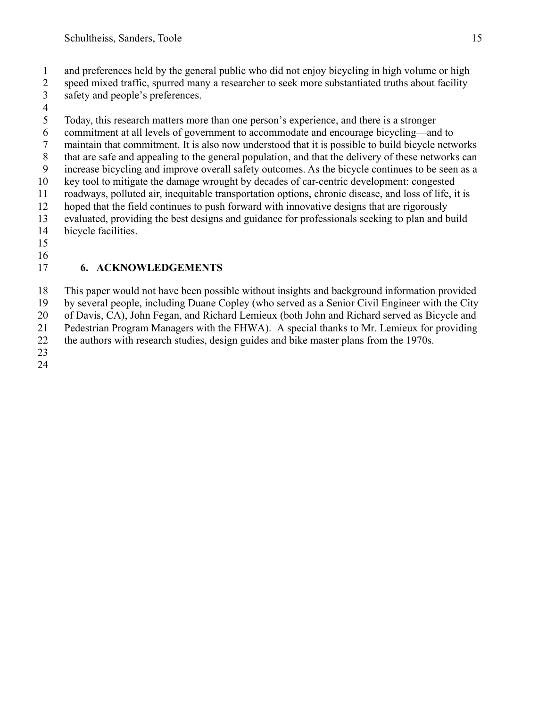- 1 and preferences held by the general public who did not enjoy bicycling in high volume or high
- 2 speed mixed traffic, spurred many a researcher to seek more substantiated truths about facility 3 safety and people's preferences.
- 

 $\frac{4}{5}$ 5 Today, this research matters more than one person's experience, and there is a stronger 6 commitment at all levels of government to accommodate and encourage bicycling—and to 7 maintain that commitment. It is also now understood that it is possible to build bicycle networks 8 that are safe and appealing to the general population, and that the delivery of these networks can 9 increase bicycling and improve overall safety outcomes. As the bicycle continues to be seen as a 10 key tool to mitigate the damage wrought by decades of car-centric development: congested 11 roadways, polluted air, inequitable transportation options, chronic disease, and loss of life, it is 12 hoped that the field continues to push forward with innovative designs that are rigorously 13 evaluated, providing the best designs and guidance for professionals seeking to plan and build 14 bicycle facilities.

15 16

# 17 **6. ACKNOWLEDGEMENTS**

18 This paper would not have been possible without insights and background information provided

19 by several people, including Duane Copley (who served as a Senior Civil Engineer with the City

20 of Davis, CA), John Fegan, and Richard Lemieux (both John and Richard served as Bicycle and

21 Pedestrian Program Managers with the FHWA). A special thanks to Mr. Lemieux for providing 22 the authors with research studies, design guides and bike master plans from the 1970s.

23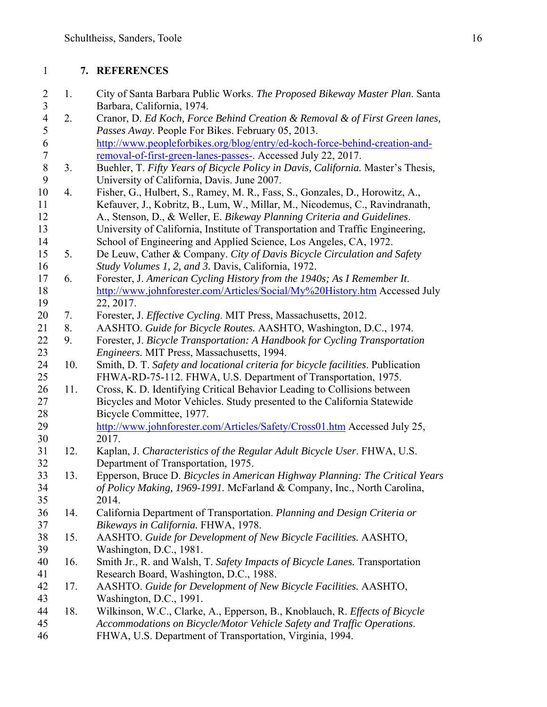#### 1 **7. REFERENCES**

- 2 1. City of Santa Barbara Public Works. *The Proposed Bikeway Master Plan*. Santa 3 Barbara, California, 1974.
- 4 2. Cranor, D. *Ed Koch, Force Behind Creation & Removal & of First Green lanes,*  5 *Passes Away*. People For Bikes. February 05, 2013. 6 http://www.peopleforbikes.org/blog/entry/ed-koch-force-behind-creation-and-<br>7 memoval-of-first-green-lanes-passes-. Accessed July 22, 2017.
- removal-of-first-green-lanes-passes-. Accessed July 22, 2017. 8 3. Buehler, T. *Fifty Years of Bicycle Policy in Davis, California.* Master's Thesis*,* 9 University of California, Davis. June 2007.
- 10 4. Fisher, G., Hulbert, S., Ramey, M. R., Fass, S., Gonzales, D., Horowitz, A., 11 Kefauver, J., Kobritz, B., Lum, W., Millar, M., Nicodemus, C., Ravindranath, 12 A., Stenson, D., & Weller, E. *Bikeway Planning Criteria and Guidelines*.
- 13 University of California, Institute of Transportation and Traffic Engineering, 14 School of Engineering and Applied Science, Los Angeles, CA, 1972.
- 15 5. De Leuw, Cather & Company. *City of Davis Bicycle Circulation and Safety*  16 *Study Volumes 1, 2, and 3.* Davis, California, 1972.
- 17 6. Forester, J. *American Cycling History from the 1940s; As I Remember It*. 18 http://www.johnforester.com/Articles/Social/My%20History.htm Accessed July 19 22, 2017.
- 20 7. Forester, J. *Effective Cycling*. MIT Press, Massachusetts, 2012.
- 21 8. AASHTO. *Guide for Bicycle Routes.* AASHTO, Washington, D.C., 1974.
- 22 9. Forester, J. *Bicycle Transportation: A Handbook for Cycling Transportation*  23 *Engineers.* MIT Press, Massachusetts, 1994.
- 24 10. Smith, D. T. *Safety and locational criteria for bicycle facilities*. Publication 25 FHWA-RD-75-112. FHWA, U.S. Department of Transportation, 1975.
- 26 11. Cross, K. D. Identifying Critical Behavior Leading to Collisions between 27 Bicycles and Motor Vehicles. Study presented to the California Statewide 28 Bicycle Committee, 1977.
- 29 http://www.johnforester.com/Articles/Safety/Cross01.htm Accessed July 25, 30 2017.
- 31 12. Kaplan, J. *Characteristics of the Regular Adult Bicycle User*. FHWA, U.S. 32 Department of Transportation, 1975.
- 33 13. Epperson, Bruce D. *Bicycles in American Highway Planning: The Critical Years*  34 *of Policy Making, 1969-1991.* McFarland & Company, Inc., North Carolina, 35 2014.
- 36 14. California Department of Transportation. *Planning and Design Criteria or*  37 *Bikeways in California.* FHWA, 1978.
- 38 15. AASHTO. *Guide for Development of New Bicycle Facilities.* AASHTO, 39 Washington, D.C., 1981.
- 40 16. Smith Jr., R. and Walsh, T. *Safety Impacts of Bicycle Lanes.* Transportation 41 Research Board, Washington, D.C., 1988.
- 42 17. AASHTO. *Guide for Development of New Bicycle Facilities.* AASHTO, 43 Washington, D.C., 1991.
- 44 18. Wilkinson, W.C., Clarke, A., Epperson, B., Knoblauch, R. *Effects of Bicycle*  45 *Accommodations on Bicycle/Motor Vehicle Safety and Traffic Operations*.
- 46 FHWA, U.S. Department of Transportation, Virginia, 1994.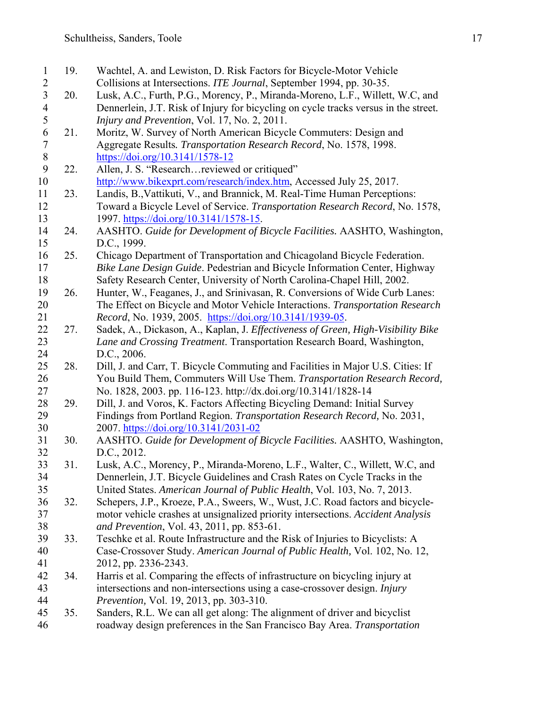1 19. Wachtel, A. and Lewiston, D. Risk Factors for Bicycle-Motor Vehicle 2 Collisions at Intersections. *ITE Journal*, September 1994, pp. 30-35.<br>20. Lusk, A.C., Furth, P.G., Morency, P., Miranda-Moreno, L.F., Willett 3 20. Lusk, A.C., Furth, P.G., Morency, P., Miranda-Moreno, L.F., Willett, W.C, and 4 Dennerlein, J.T. Risk of Injury for bicycling on cycle tracks versus in the street.<br>5 *Injury and Prevention*, Vol. 17, No. 2, 2011. 5 *Injury and Prevention*, Vol. 17, No. 2, 2011. 21. Moritz, W. Survey of North American Bicycle Commuters: Design and 7 Aggregate Results*. Transportation Research Record*, No. 1578, 1998. 8 https://doi.org/10.3141/1578-12 9 22. Allen, J. S. "Research…reviewed or critiqued" 10 http://www.bikexprt.com/research/index.htm, Accessed July 25, 2017. 11 23. Landis, B.,Vattikuti, V., and Brannick, M. Real-Time Human Perceptions: 12 Toward a Bicycle Level of Service. *Transportation Research Record*, No. 1578, 13 1997. https://doi.org/10.3141/1578-15. 14 24. AASHTO. *Guide for Development of Bicycle Facilities.* AASHTO, Washington, 15 D.C., 1999. 16 25. Chicago Department of Transportation and Chicagoland Bicycle Federation. 17 *Bike Lane Design Guide*. Pedestrian and Bicycle Information Center, Highway 18 Safety Research Center, University of North Carolina-Chapel Hill, 2002. 19 26. Hunter, W., Feaganes, J., and Srinivasan, R. Conversions of Wide Curb Lanes: 20 The Effect on Bicycle and Motor Vehicle Interactions. *Transportation Research*  21 *Record*, No. 1939, 2005. https://doi.org/10.3141/1939-05. 22 27. Sadek, A., Dickason, A., Kaplan, J. *Effectiveness of Green, High-Visibility Bike*  23 *Lane and Crossing Treatment*. Transportation Research Board, Washington, 24 D.C., 2006. 25 28. Dill, J. and Carr, T. Bicycle Commuting and Facilities in Major U.S. Cities: If 26 You Build Them, Commuters Will Use Them. *Transportation Research Record,*  27 No. 1828, 2003. pp. 116-123. http://dx.doi.org/10.3141/1828-14 28 29. Dill, J. and Voros, K. Factors Affecting Bicycling Demand: Initial Survey 29 Findings from Portland Region. *Transportation Research Record,* No. 2031, 30 2007. https://doi.org/10.3141/2031-02 31 30. AASHTO. *Guide for Development of Bicycle Facilities.* AASHTO, Washington, 32 D.C., 2012. 33 31. Lusk, A.C., Morency, P., Miranda-Moreno, L.F., Walter, C., Willett, W.C, and 34 Dennerlein, J.T. Bicycle Guidelines and Crash Rates on Cycle Tracks in the 35 United States. *American Journal of Public Health*, Vol. 103, No. 7, 2013. 36 32. Schepers, J.P., Kroeze, P.A., Sweers, W., Wust, J.C. Road factors and bicycle‐ 37 motor vehicle crashes at unsignalized priority intersections. *Accident Analysis*  38 *and Prevention*, Vol. 43, 2011, pp. 853‐61. 39 33. Teschke et al. Route Infrastructure and the Risk of Injuries to Bicyclists: A 40 Case-Crossover Study. *American Journal of Public Health,* Vol. 102, No. 12, 41 2012, pp. 2336-2343. 42 34. Harris et al. Comparing the effects of infrastructure on bicycling injury at 43 intersections and non-intersections using a case-crossover design. *Injury*  44 *Prevention,* Vol. 19, 2013, pp. 303-310. 45 35. Sanders, R.L. We can all get along: The alignment of driver and bicyclist 46 roadway design preferences in the San Francisco Bay Area. *Transportation*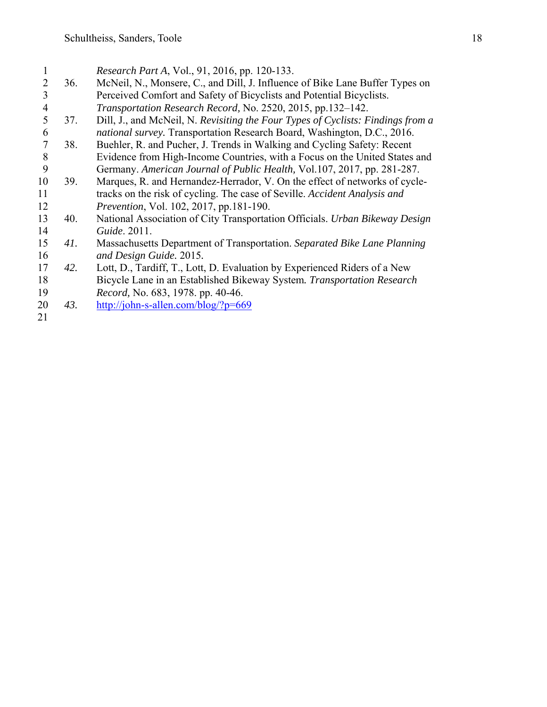| 1              |     | Research Part A, Vol., 91, 2016, pp. 120-133.                                   |
|----------------|-----|---------------------------------------------------------------------------------|
| 2              | 36. | McNeil, N., Monsere, C., and Dill, J. Influence of Bike Lane Buffer Types on    |
| 3              |     | Perceived Comfort and Safety of Bicyclists and Potential Bicyclists.            |
| $\overline{4}$ |     | Transportation Research Record, No. 2520, 2015, pp.132-142.                     |
| 5              | 37. | Dill, J., and McNeil, N. Revisiting the Four Types of Cyclists: Findings from a |
| 6              |     | national survey. Transportation Research Board, Washington, D.C., 2016.         |
| 7              | 38. | Buehler, R. and Pucher, J. Trends in Walking and Cycling Safety: Recent         |
| 8              |     | Evidence from High-Income Countries, with a Focus on the United States and      |
| 9              |     | Germany. American Journal of Public Health, Vol.107, 2017, pp. 281-287.         |
| 10             | 39. | Marques, R. and Hernandez-Herrador, V. On the effect of networks of cycle-      |
| 11             |     | tracks on the risk of cycling. The case of Seville. Accident Analysis and       |
| 12             |     | <i>Prevention, Vol. 102, 2017, pp.181-190.</i>                                  |
| 13             | 40. | National Association of City Transportation Officials. Urban Bikeway Design     |
| 14             |     | <i>Guide.</i> 2011.                                                             |
| 15             | 41. | Massachusetts Department of Transportation. Separated Bike Lane Planning        |
| 16             |     | and Design Guide. 2015.                                                         |
| 17             | 42. | Lott, D., Tardiff, T., Lott, D. Evaluation by Experienced Riders of a New       |
| 18             |     | Bicycle Lane in an Established Bikeway System. Transportation Research          |
| 19             |     | Record, No. 683, 1978. pp. 40-46.                                               |
| 20             | 43. | http://john-s-allen.com/blog/?p=669                                             |
| 21             |     |                                                                                 |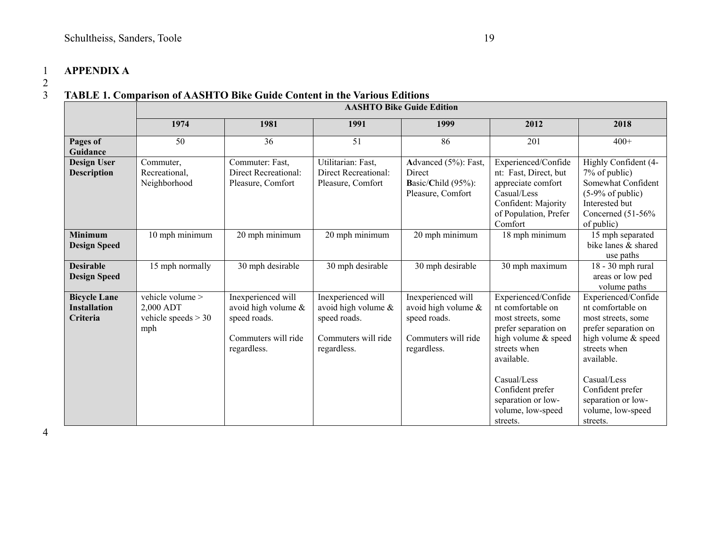#### 1 **APPENDIX A**

#### 3 **TABLE 1. Comparison of AASHTO Bike Guide Content in the Various Editions**

|                                                        | <b>AASHTO Bike Guide Edition</b>                              |                                                                                                 |                                                                                                 |                                                                                                 |                                                                                                                                                                                                                                       |                                                                                                                                                                                                                                       |  |  |  |  |
|--------------------------------------------------------|---------------------------------------------------------------|-------------------------------------------------------------------------------------------------|-------------------------------------------------------------------------------------------------|-------------------------------------------------------------------------------------------------|---------------------------------------------------------------------------------------------------------------------------------------------------------------------------------------------------------------------------------------|---------------------------------------------------------------------------------------------------------------------------------------------------------------------------------------------------------------------------------------|--|--|--|--|
|                                                        | 1974                                                          | 1981                                                                                            | 1991                                                                                            | 1999                                                                                            | 2012                                                                                                                                                                                                                                  | 2018                                                                                                                                                                                                                                  |  |  |  |  |
| Pages of<br>Guidance                                   | 50                                                            | 36                                                                                              | 51                                                                                              | 86                                                                                              | 201                                                                                                                                                                                                                                   | $400+$                                                                                                                                                                                                                                |  |  |  |  |
| <b>Design User</b><br><b>Description</b>               | Commuter,<br>Recreational,<br>Neighborhood                    | Commuter: Fast,<br>Direct Recreational:<br>Pleasure, Comfort                                    | Utilitarian: Fast,<br>Direct Recreational:<br>Pleasure, Comfort                                 | Advanced (5%): Fast,<br>Direct<br>Basic/Child (95%):<br>Pleasure, Comfort                       | Experienced/Confide<br>nt: Fast, Direct, but<br>appreciate comfort<br>Casual/Less<br>Confident: Majority<br>of Population, Prefer<br>Comfort                                                                                          | Highly Confident (4-<br>7% of public)<br>Somewhat Confident<br>$(5-9%$ of public)<br>Interested but<br>Concerned $(51-56\%$<br>of public)                                                                                             |  |  |  |  |
| <b>Minimum</b><br><b>Design Speed</b>                  | 10 mph minimum                                                | 20 mph minimum                                                                                  | 20 mph minimum                                                                                  | 20 mph minimum                                                                                  | 18 mph minimum                                                                                                                                                                                                                        | 15 mph separated<br>bike lanes & shared<br>use paths                                                                                                                                                                                  |  |  |  |  |
| <b>Desirable</b><br><b>Design Speed</b>                | 15 mph normally                                               | 30 mph desirable                                                                                | 30 mph desirable                                                                                | 30 mph desirable                                                                                | 30 mph maximum                                                                                                                                                                                                                        | 18 - 30 mph rural<br>areas or low ped<br>volume paths                                                                                                                                                                                 |  |  |  |  |
| <b>Bicycle Lane</b><br><b>Installation</b><br>Criteria | vehicle volume ><br>2,000 ADT<br>vehicle speeds $>$ 30<br>mph | Inexperienced will<br>avoid high volume &<br>speed roads.<br>Commuters will ride<br>regardless. | Inexperienced will<br>avoid high volume &<br>speed roads.<br>Commuters will ride<br>regardless. | Inexperienced will<br>avoid high volume &<br>speed roads.<br>Commuters will ride<br>regardless. | Experienced/Confide<br>nt comfortable on<br>most streets, some<br>prefer separation on<br>high volume & speed<br>streets when<br>available.<br>Casual/Less<br>Confident prefer<br>separation or low-<br>volume, low-speed<br>streets. | Experienced/Confide<br>nt comfortable on<br>most streets, some<br>prefer separation on<br>high volume & speed<br>streets when<br>available.<br>Casual/Less<br>Confident prefer<br>separation or low-<br>volume, low-speed<br>streets. |  |  |  |  |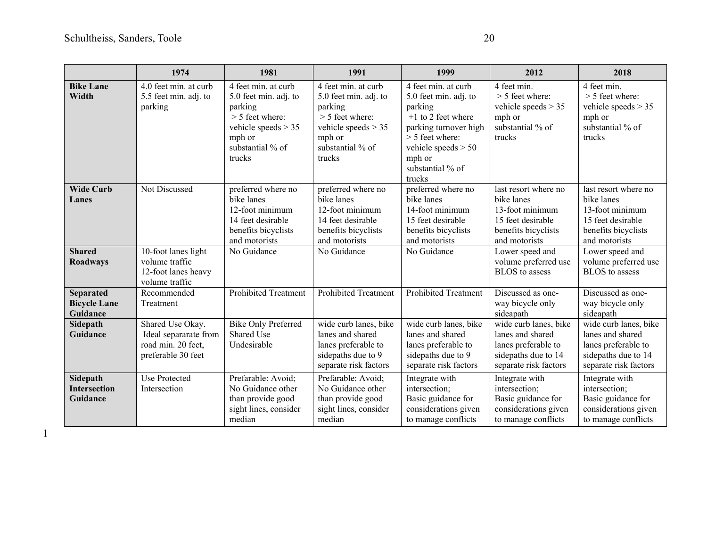|                                                               | 1974                                                                                            | 1981                                                                                                                                          | 1991                                                                                                                                          | 1999                                                                                                                                                                                           | 2012                                                                                                                                                                                   | 2018                                                                                                                                                                                   |
|---------------------------------------------------------------|-------------------------------------------------------------------------------------------------|-----------------------------------------------------------------------------------------------------------------------------------------------|-----------------------------------------------------------------------------------------------------------------------------------------------|------------------------------------------------------------------------------------------------------------------------------------------------------------------------------------------------|----------------------------------------------------------------------------------------------------------------------------------------------------------------------------------------|----------------------------------------------------------------------------------------------------------------------------------------------------------------------------------------|
| <b>Bike Lane</b><br>Width                                     | 4.0 feet min. at curb<br>5.5 feet min. adj. to<br>parking                                       | 4 feet min. at curb<br>5.0 feet min. adj. to<br>parking<br>$>$ 5 feet where:<br>vehicle speeds $> 35$<br>mph or<br>substantial % of<br>trucks | 4 feet min. at curb<br>5.0 feet min. adj. to<br>parking<br>$>$ 5 feet where:<br>vehicle speeds $>$ 35<br>mph or<br>substantial % of<br>trucks | 4 feet min. at curb<br>5.0 feet min. adj. to<br>parking<br>$+1$ to 2 feet where<br>parking turnover high<br>$>$ 5 feet where:<br>vehicle speeds $> 50$<br>mph or<br>substantial % of<br>trucks | 4 feet min.<br>$> 5$ feet where:<br>vehicle speeds $> 35$<br>mph or<br>substantial % of<br>trucks                                                                                      | 4 feet min.<br>$> 5$ feet where:<br>vehicle speeds $>$ 35<br>mph or<br>substantial % of<br>trucks                                                                                      |
| <b>Wide Curb</b><br>Lanes<br><b>Shared</b><br><b>Roadways</b> | Not Discussed<br>10-foot lanes light<br>volume traffic<br>12-foot lanes heavy<br>volume traffic | preferred where no<br>bike lanes<br>12-foot minimum<br>14 feet desirable<br>benefits bicyclists<br>and motorists<br>No Guidance               | preferred where no<br>bike lanes<br>12-foot minimum<br>14 feet desirable<br>benefits bicyclists<br>and motorists<br>No Guidance               | preferred where no<br>bike lanes<br>14-foot minimum<br>15 feet desirable<br>benefits bicyclists<br>and motorists<br>No Guidance                                                                | last resort where no<br>bike lanes<br>13-foot minimum<br>15 feet desirable<br>benefits bicyclists<br>and motorists<br>Lower speed and<br>volume preferred use<br><b>BLOS</b> to assess | last resort where no<br>bike lanes<br>13-foot minimum<br>15 feet desirable<br>benefits bicyclists<br>and motorists<br>Lower speed and<br>volume preferred use<br><b>BLOS</b> to assess |
| <b>Separated</b><br><b>Bicycle Lane</b><br>Guidance           | Recommended<br>Treatment                                                                        | <b>Prohibited Treatment</b>                                                                                                                   | <b>Prohibited Treatment</b>                                                                                                                   | <b>Prohibited Treatment</b>                                                                                                                                                                    | Discussed as one-<br>way bicycle only<br>sideapath                                                                                                                                     | Discussed as one-<br>way bicycle only<br>sideapath                                                                                                                                     |
| Sidepath<br>Guidance                                          | Shared Use Okay.<br>Ideal separarate from<br>road min. 20 feet,<br>preferable 30 feet           | <b>Bike Only Preferred</b><br>Shared Use<br>Undesirable                                                                                       | wide curb lanes, bike<br>lanes and shared<br>lanes preferable to<br>sidepaths due to 9<br>separate risk factors                               | wide curb lanes, bike<br>lanes and shared<br>lanes preferable to<br>sidepaths due to 9<br>separate risk factors                                                                                | wide curb lanes, bike<br>lanes and shared<br>lanes preferable to<br>sidepaths due to 14<br>separate risk factors                                                                       | wide curb lanes, bike<br>lanes and shared<br>lanes preferable to<br>sidepaths due to 14<br>separate risk factors                                                                       |
| Sidepath<br><b>Intersection</b><br>Guidance                   | Use Protected<br>Intersection                                                                   | Prefarable: Avoid;<br>No Guidance other<br>than provide good<br>sight lines, consider<br>median                                               | Prefarable: Avoid;<br>No Guidance other<br>than provide good<br>sight lines, consider<br>median                                               | Integrate with<br>intersection;<br>Basic guidance for<br>considerations given<br>to manage conflicts                                                                                           | Integrate with<br>intersection;<br>Basic guidance for<br>considerations given<br>to manage conflicts                                                                                   | Integrate with<br>intersection;<br>Basic guidance for<br>considerations given<br>to manage conflicts                                                                                   |